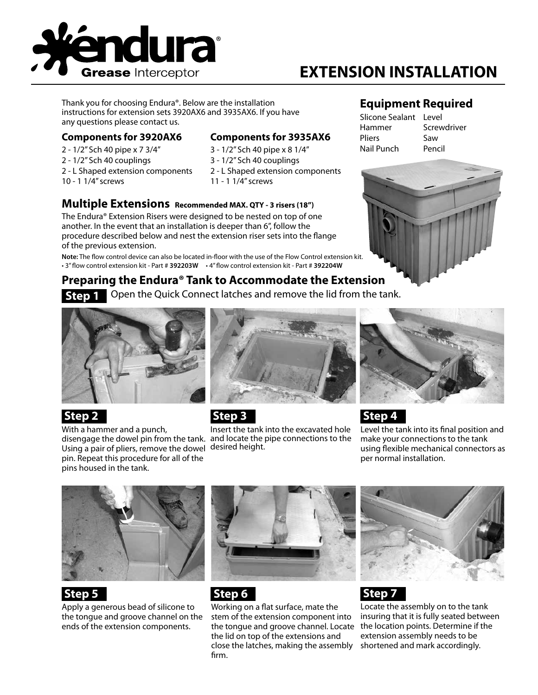

# **EXTENSION INSTALLATION**

Thank you for choosing Endura®. Below are the installation instructions for extension sets 3920AX6 and 3935AX6. If you have any questions please contact us.

#### **Components for 3920AX6**

- 2 1/2" Sch 40 pipe x 7 3/4"
- 2 1/2" Sch 40 couplings
- 2 L Shaped extension components
- 10 1 1/4" screws
- **Components for 3935AX6**
- 3 1/2" Sch 40 pipe x 8 1/4"
- 3 1/2" Sch 40 couplings
- 2 L Shaped extension components 11 - 1 1/4" screws

#### **Multiple Extensions Recommended MAX. QTY - 3 risers (18")**

The Endura® Extension Risers were designed to be nested on top of one another. In the event that an installation is deeper than 6", follow the procedure described below and nest the extension riser sets into the flange of the previous extension.

**Note:** The flow control device can also be located in-floor with the use of the Flow Control extension kit. • 3" flow control extension kit - Part # **392203W** • 4" flow control extension kit - Part # **392204W**

#### **Preparing the Endura® Tank to Accommodate the Extension Step 1**

Open the Quick Connect latches and remove the lid from the tank.



### **Step 2**

With a hammer and a punch, Using a pair of pliers, remove the dowel desired height. pin. Repeat this procedure for all of the pins housed in the tank.



 **Step 3**

disengage the dowel pin from the tank. and locate the pipe connections to the Insert the tank into the excavated hole

#### **Equipment Required**

| Slicone Sealant Level |             |
|-----------------------|-------------|
| Hammer                | Screwdriver |
| Pliers                | Saw         |
| Nail Punch            | Pencil      |





# **Step 4**

Level the tank into its final position and make your connections to the tank using flexible mechanical connectors as per normal installation.



### **Step 5**

Apply a generous bead of silicone to the tongue and groove channel on the ends of the extension components.



### **Step 6**

Working on a flat surface, mate the stem of the extension component into the tongue and groove channel. Locate the lid on top of the extensions and close the latches, making the assembly firm.



# **Step 7**

Locate the assembly on to the tank insuring that it is fully seated between the location points. Determine if the extension assembly needs to be shortened and mark accordingly.